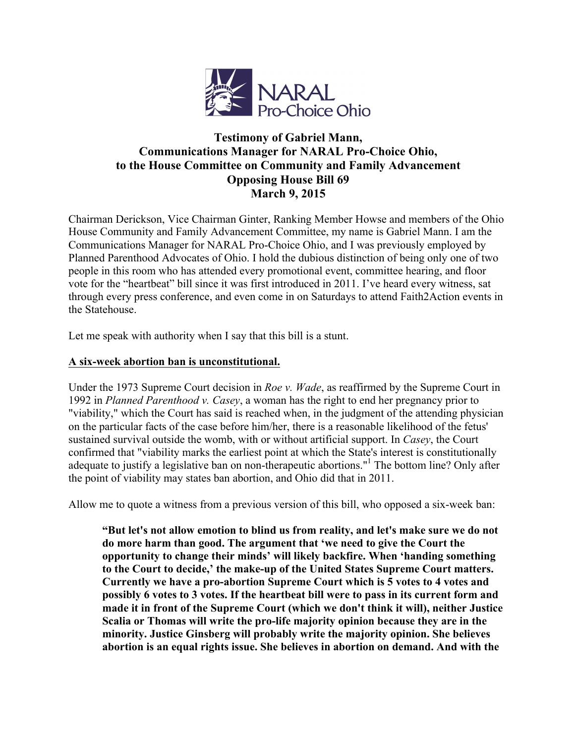

# **Testimony of Gabriel Mann, Communications Manager for NARAL Pro-Choice Ohio, to the House Committee on Community and Family Advancement Opposing House Bill 69 March 9, 2015**

Chairman Derickson, Vice Chairman Ginter, Ranking Member Howse and members of the Ohio House Community and Family Advancement Committee, my name is Gabriel Mann. I am the Communications Manager for NARAL Pro-Choice Ohio, and I was previously employed by Planned Parenthood Advocates of Ohio. I hold the dubious distinction of being only one of two people in this room who has attended every promotional event, committee hearing, and floor vote for the "heartbeat" bill since it was first introduced in 2011. I've heard every witness, sat through every press conference, and even come in on Saturdays to attend Faith2Action events in the Statehouse.

Let me speak with authority when I say that this bill is a stunt.

## **A six-week abortion ban is unconstitutional.**

Under the 1973 Supreme Court decision in *Roe v. Wade*, as reaffirmed by the Supreme Court in 1992 in *Planned Parenthood v. Casey*, a woman has the right to end her pregnancy prior to "viability," which the Court has said is reached when, in the judgment of the attending physician on the particular facts of the case before him/her, there is a reasonable likelihood of the fetus' sustained survival outside the womb, with or without artificial support. In *Casey*, the Court confirmed that "viability marks the earliest point at which the State's interest is constitutionally adequate to justify a legislative ban on non-therapeutic abortions."<sup>1</sup> The bottom line? Only after the point of viability may states ban abortion, and Ohio did that in 2011.

Allow me to quote a witness from a previous version of this bill, who opposed a six-week ban:

**"But let's not allow emotion to blind us from reality, and let's make sure we do not do more harm than good. The argument that 'we need to give the Court the opportunity to change their minds' will likely backfire. When 'handing something to the Court to decide,' the make-up of the United States Supreme Court matters. Currently we have a pro-abortion Supreme Court which is 5 votes to 4 votes and possibly 6 votes to 3 votes. If the heartbeat bill were to pass in its current form and made it in front of the Supreme Court (which we don't think it will), neither Justice Scalia or Thomas will write the pro-life majority opinion because they are in the minority. Justice Ginsberg will probably write the majority opinion. She believes abortion is an equal rights issue. She believes in abortion on demand. And with the**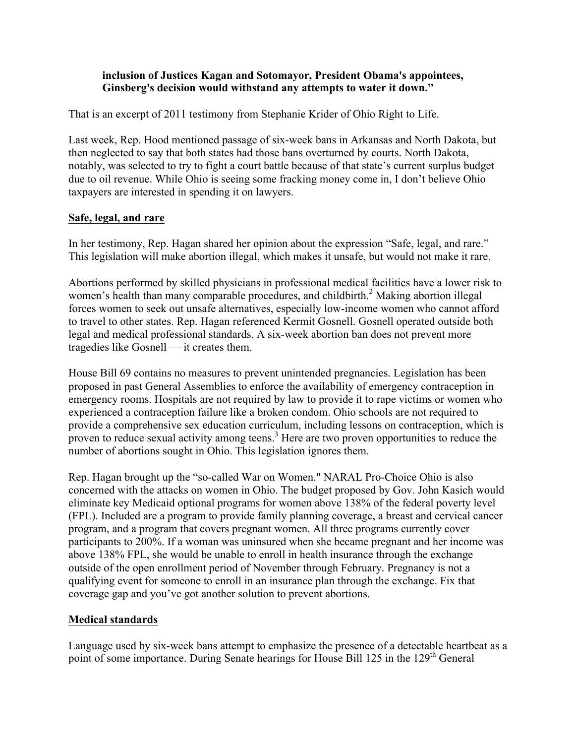#### **inclusion of Justices Kagan and Sotomayor, President Obama's appointees, Ginsberg's decision would withstand any attempts to water it down."**

That is an excerpt of 2011 testimony from Stephanie Krider of Ohio Right to Life.

Last week, Rep. Hood mentioned passage of six-week bans in Arkansas and North Dakota, but then neglected to say that both states had those bans overturned by courts. North Dakota, notably, was selected to try to fight a court battle because of that state's current surplus budget due to oil revenue. While Ohio is seeing some fracking money come in, I don't believe Ohio taxpayers are interested in spending it on lawyers.

#### **Safe, legal, and rare**

In her testimony, Rep. Hagan shared her opinion about the expression "Safe, legal, and rare." This legislation will make abortion illegal, which makes it unsafe, but would not make it rare.

Abortions performed by skilled physicians in professional medical facilities have a lower risk to women's health than many comparable procedures, and childbirth.<sup>2</sup> Making abortion illegal forces women to seek out unsafe alternatives, especially low-income women who cannot afford to travel to other states. Rep. Hagan referenced Kermit Gosnell. Gosnell operated outside both legal and medical professional standards. A six-week abortion ban does not prevent more tragedies like Gosnell — it creates them.

House Bill 69 contains no measures to prevent unintended pregnancies. Legislation has been proposed in past General Assemblies to enforce the availability of emergency contraception in emergency rooms. Hospitals are not required by law to provide it to rape victims or women who experienced a contraception failure like a broken condom. Ohio schools are not required to provide a comprehensive sex education curriculum, including lessons on contraception, which is proven to reduce sexual activity among teens.<sup>3</sup> Here are two proven opportunities to reduce the number of abortions sought in Ohio. This legislation ignores them.

Rep. Hagan brought up the "so-called War on Women." NARAL Pro-Choice Ohio is also concerned with the attacks on women in Ohio. The budget proposed by Gov. John Kasich would eliminate key Medicaid optional programs for women above 138% of the federal poverty level (FPL). Included are a program to provide family planning coverage, a breast and cervical cancer program, and a program that covers pregnant women. All three programs currently cover participants to 200%. If a woman was uninsured when she became pregnant and her income was above 138% FPL, she would be unable to enroll in health insurance through the exchange outside of the open enrollment period of November through February. Pregnancy is not a qualifying event for someone to enroll in an insurance plan through the exchange. Fix that coverage gap and you've got another solution to prevent abortions.

### **Medical standards**

Language used by six-week bans attempt to emphasize the presence of a detectable heartbeat as a point of some importance. During Senate hearings for House Bill 125 in the 129<sup>th</sup> General